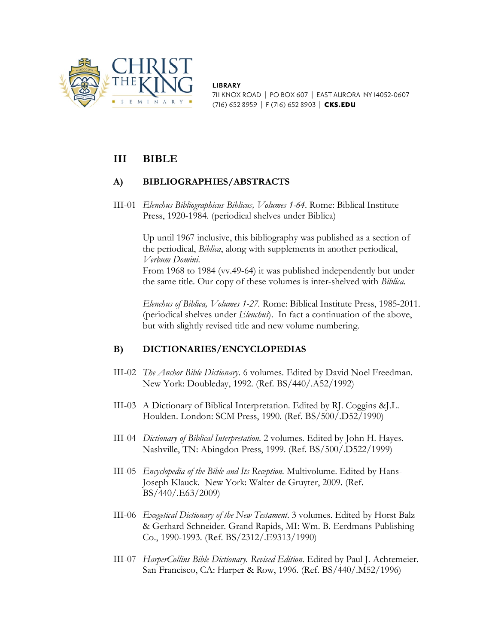

**LIBRARY**

711 KNOX ROAD | PO BOX 607 | EAST AURORA NY 14052-0607 (716) 652 8959 | F (716) 652 8903 | CKS.EDU

# **III BIBLE**

## **A) BIBLIOGRAPHIES/ABSTRACTS**

III-01 *Elenchus Bibliographicus Biblicus, Volumes 1-64*. Rome: Biblical Institute Press, 1920-1984. (periodical shelves under Biblica)

> Up until 1967 inclusive, this bibliography was published as a section of the periodical, *Biblica*, along with supplements in another periodical, *Verbum Domini*.

From 1968 to 1984 (vv.49-64) it was published independently but under the same title. Our copy of these volumes is inter-shelved with *Biblica*.

*Elenchus of Biblica, Volumes 1-27.* Rome: Biblical Institute Press, 1985-2011. (periodical shelves under *Elenchus*). In fact a continuation of the above, but with slightly revised title and new volume numbering.

## **B) DICTIONARIES/ENCYCLOPEDIAS**

- III-02 *The Anchor Bible Dictionary*. 6 volumes. Edited by David Noel Freedman. New York: Doubleday, 1992. (Ref. BS/440/.A52/1992)
- III-03 A Dictionary of Biblical Interpretation. Edited by RJ. Coggins &J.L. Houlden. London: SCM Press, 1990. (Ref. BS/500/.D52/1990)
- III-04 *Dictionary of Biblical Interpretation*. 2 volumes. Edited by John H. Hayes. Nashville, TN: Abingdon Press, 1999. (Ref. BS/500/.D522/1999)
- III-05 *Encyclopedia of the Bible and Its Reception.* Multivolume. Edited by Hans-Joseph Klauck. New York: Walter de Gruyter, 2009. (Ref. BS/440/.E63/2009)
- III-06 *Exegetical Dictionary of the New Testament*. 3 volumes. Edited by Horst Balz & Gerhard Schneider. Grand Rapids, MI: Wm. B. Eerdmans Publishing Co., 1990-1993. (Ref. BS/2312/.E9313/1990)
- III-07 *HarperCollins Bible Dictionary. Revised Edition*. Edited by Paul J. Achtemeier. San Francisco, CA: Harper & Row, 1996. (Ref. BS/440/.M52/1996)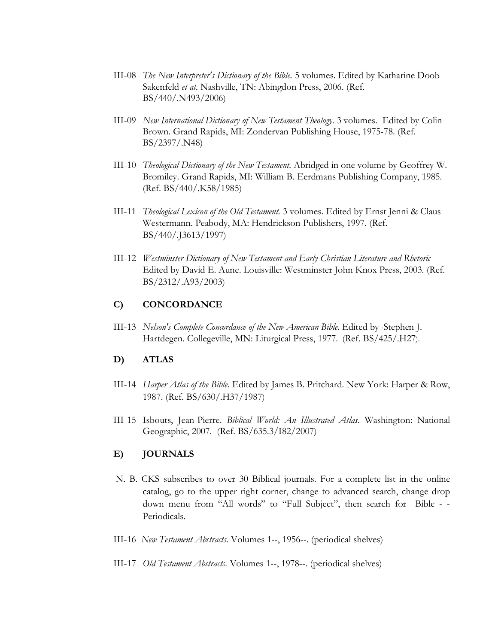- III-08 *The New Interpreter's Dictionary of the Bible.* 5 volumes. Edited by Katharine Doob Sakenfeld *et at.* Nashville, TN: Abingdon Press, 2006. (Ref. BS/440/.N493/2006)
- III-09 *New International Dictionary of New Testament Theology.* 3 volumes. Edited by Colin Brown. Grand Rapids, MI: Zondervan Publishing House, 1975-78. (Ref. BS/2397/.N48)
- III-10 *Theological Dictionary of the New Testament.* Abridged in one volume by Geoffrey W. Bromiley. Grand Rapids, MI: William B. Eerdmans Publishing Company, 1985. (Ref. BS/440/.K58/1985)
- III-11 *Theological Lexicon of the Old Testament.* 3 volumes. Edited by Ernst Jenni & Claus Westermann. Peabody, MA: Hendrickson Publishers, 1997. (Ref. BS/440/.J3613/1997)
- III-12 *Westminster Dictionary of New Testament and Early Christian Literature and Rhetoric* Edited by David E. Aune. Louisville: Westminster John Knox Press, 2003. (Ref. BS/2312/.A93/2003)

### **C) CONCORDANCE**

III-13 *Nelson's Complete Concordance of the New American Bible*. Edited by Stephen J. Hartdegen. Collegeville, MN: Liturgical Press, 1977. (Ref. BS/425/.H27).

### **D) ATLAS**

- III-14 *Harper Atlas of the Bible.* Edited by James B. Pritchard. New York: Harper & Row, 1987. (Ref. BS/630/.H37/1987)
- III-15 Isbouts, Jean-Pierre. *Biblical World: An Illustrated Atlas*. Washington: National Geographic, 2007. (Ref. BS/635.3/I82/2007)

#### **E) JOURNALS**

- N. B. CKS subscribes to over 30 Biblical journals. For a complete list in the online catalog, go to the upper right corner, change to advanced search, change drop down menu from "All words" to "Full Subject", then search for Bible - - Periodicals.
- III-16 *New Testament Abstracts.* Volumes 1--, 1956--. (periodical shelves)
- III-17 *Old Testament Abstracts.* Volumes 1--, 1978--. (periodical shelves)